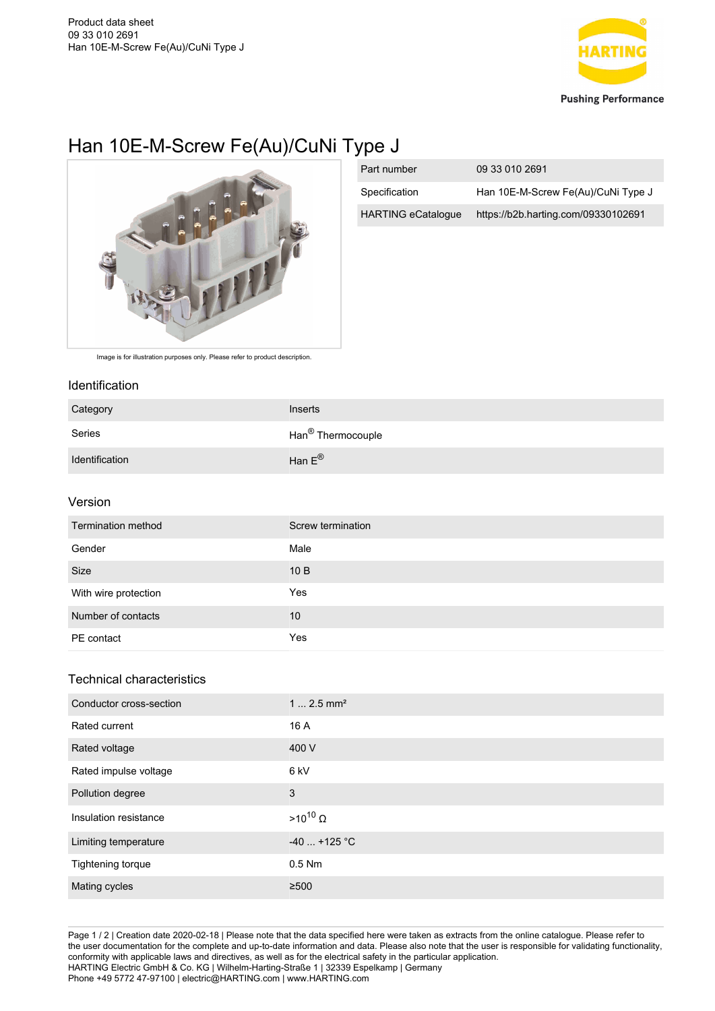

# Han 10E-M-Screw Fe(Au)/CuNi Type J



| Part number               | 09 33 010 2691                      |
|---------------------------|-------------------------------------|
| Specification             | Han 10E-M-Screw Fe(Au)/CuNi Type J  |
| <b>HARTING eCatalogue</b> | https://b2b.harting.com/09330102691 |

Image is for illustration purposes only. Please refer to product description.

#### Identification

| Category       | Inserts                       |
|----------------|-------------------------------|
| Series         | Han <sup>®</sup> Thermocouple |
| Identification | Han $E^{\circledR}$           |

#### Version

| Termination method   | Screw termination |
|----------------------|-------------------|
| Gender               | Male              |
| Size                 | 10B               |
| With wire protection | Yes               |
| Number of contacts   | 10                |
| PE contact           | Yes               |

# Technical characteristics

| Conductor cross-section | $1 2.5$ mm <sup>2</sup> |
|-------------------------|-------------------------|
| Rated current           | 16 A                    |
| Rated voltage           | 400 V                   |
| Rated impulse voltage   | 6 kV                    |
| Pollution degree        | 3                       |
| Insulation resistance   | $>10^{10}$ $\Omega$     |
| Limiting temperature    | $-40$ +125 °C           |
| Tightening torque       | $0.5$ Nm                |
| Mating cycles           | $\geq 500$              |

Page 1 / 2 | Creation date 2020-02-18 | Please note that the data specified here were taken as extracts from the online catalogue. Please refer to the user documentation for the complete and up-to-date information and data. Please also note that the user is responsible for validating functionality, conformity with applicable laws and directives, as well as for the electrical safety in the particular application. HARTING Electric GmbH & Co. KG | Wilhelm-Harting-Straße 1 | 32339 Espelkamp | Germany Phone +49 5772 47-97100 | electric@HARTING.com | www.HARTING.com